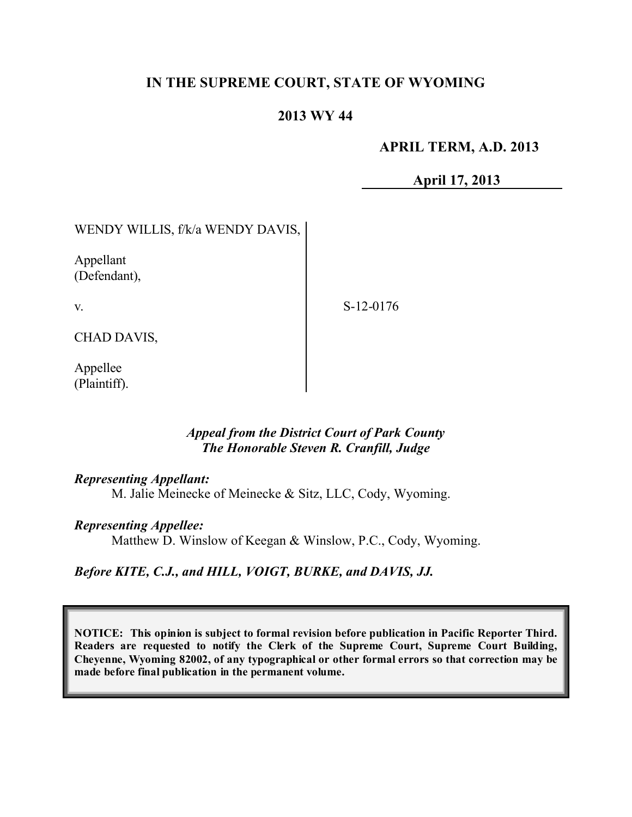# **IN THE SUPREME COURT, STATE OF WYOMING**

## **2013 WY 44**

### **APRIL TERM, A.D. 2013**

**April 17, 2013**

# WENDY WILLIS, f/k/a WENDY DAVIS,

Appellant (Defendant),

v.

S-12-0176

CHAD DAVIS,

Appellee (Plaintiff).

### *Appeal from the District Court of Park County The Honorable Steven R. Cranfill, Judge*

#### *Representing Appellant:*

M. Jalie Meinecke of Meinecke & Sitz, LLC, Cody, Wyoming.

#### *Representing Appellee:*

Matthew D. Winslow of Keegan & Winslow, P.C., Cody, Wyoming.

### *Before KITE, C.J., and HILL, VOIGT, BURKE, and DAVIS, JJ.*

**NOTICE: This opinion is subject to formal revision before publication in Pacific Reporter Third. Readers are requested to notify the Clerk of the Supreme Court, Supreme Court Building, Cheyenne, Wyoming 82002, of any typographical or other formal errors so that correction may be made before final publication in the permanent volume.**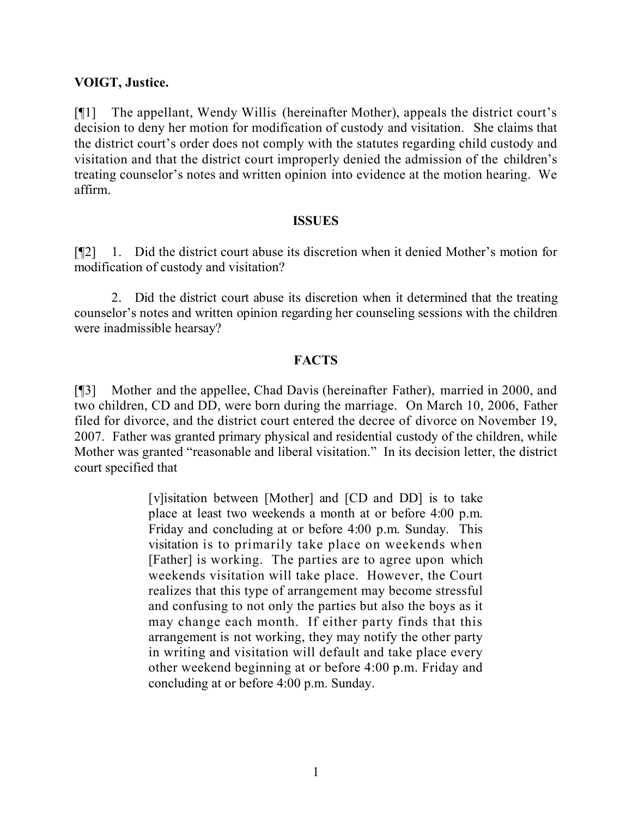### **VOIGT, Justice.**

[¶1] The appellant, Wendy Willis (hereinafter Mother), appeals the district court's decision to deny her motion for modification of custody and visitation. She claims that the district court's order does not comply with the statutes regarding child custody and visitation and that the district court improperly denied the admission of the children's treating counselor's notes and written opinion into evidence at the motion hearing. We affirm.

#### **ISSUES**

[¶2] 1. Did the district court abuse its discretion when it denied Mother's motion for modification of custody and visitation?

2. Did the district court abuse its discretion when it determined that the treating counselor's notes and written opinion regarding her counseling sessions with the children were inadmissible hearsay?

### **FACTS**

[¶3] Mother and the appellee, Chad Davis (hereinafter Father), married in 2000, and two children, CD and DD, were born during the marriage. On March 10, 2006, Father filed for divorce, and the district court entered the decree of divorce on November 19, 2007. Father was granted primary physical and residential custody of the children, while Mother was granted "reasonable and liberal visitation." In its decision letter, the district court specified that

> [v]isitation between [Mother] and [CD and DD] is to take place at least two weekends a month at or before 4:00 p.m. Friday and concluding at or before 4:00 p.m. Sunday. This visitation is to primarily take place on weekends when [Father] is working. The parties are to agree upon which weekends visitation will take place. However, the Court realizes that this type of arrangement may become stressful and confusing to not only the parties but also the boys as it may change each month. If either party finds that this arrangement is not working, they may notify the other party in writing and visitation will default and take place every other weekend beginning at or before 4:00 p.m. Friday and concluding at or before 4:00 p.m. Sunday.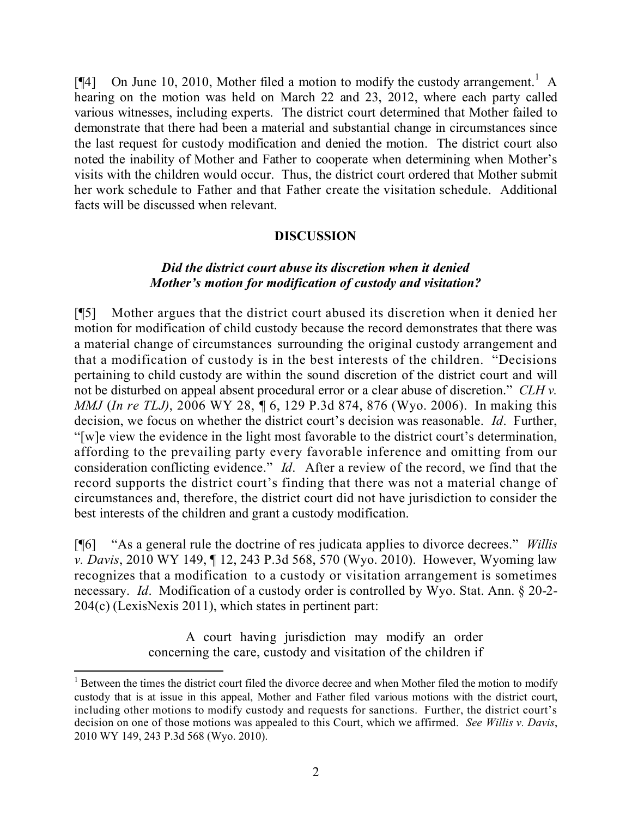[ $[$ 4] On June 10, 2010, Mother filed a motion to modify the custody arrangement.<sup>1</sup> A hearing on the motion was held on March 22 and 23, 2012, where each party called various witnesses, including experts. The district court determined that Mother failed to demonstrate that there had been a material and substantial change in circumstances since the last request for custody modification and denied the motion. The district court also noted the inability of Mother and Father to cooperate when determining when Mother's visits with the children would occur. Thus, the district court ordered that Mother submit her work schedule to Father and that Father create the visitation schedule. Additional facts will be discussed when relevant.

### **DISCUSSION**

### *Did the district court abuse its discretion when it denied Mother's motion for modification of custody and visitation?*

[¶5] Mother argues that the district court abused its discretion when it denied her motion for modification of child custody because the record demonstrates that there was a material change of circumstances surrounding the original custody arrangement and that a modification of custody is in the best interests of the children. "Decisions pertaining to child custody are within the sound discretion of the district court and will not be disturbed on appeal absent procedural error or a clear abuse of discretion." *CLH v. MMJ* (*In re TLJ)*, 2006 WY 28, ¶ 6, 129 P.3d 874, 876 (Wyo. 2006). In making this decision, we focus on whether the district court's decision was reasonable. *Id*. Further, "[w]e view the evidence in the light most favorable to the district court's determination, affording to the prevailing party every favorable inference and omitting from our consideration conflicting evidence." *Id*. After a review of the record, we find that the record supports the district court's finding that there was not a material change of circumstances and, therefore, the district court did not have jurisdiction to consider the best interests of the children and grant a custody modification.

[¶6] "As a general rule the doctrine of res judicata applies to divorce decrees." *Willis v. Davis*, 2010 WY 149, ¶ 12, 243 P.3d 568, 570 (Wyo. 2010). However, Wyoming law recognizes that a modification to a custody or visitation arrangement is sometimes necessary. *Id*. Modification of a custody order is controlled by Wyo. Stat. Ann. § 20-2- 204(c) (LexisNexis 2011), which states in pertinent part:

> A court having jurisdiction may modify an order concerning the care, custody and visitation of the children if

l

<sup>&</sup>lt;sup>1</sup> Between the times the district court filed the divorce decree and when Mother filed the motion to modify custody that is at issue in this appeal, Mother and Father filed various motions with the district court, including other motions to modify custody and requests for sanctions. Further, the district court's decision on one of those motions was appealed to this Court, which we affirmed. *See Willis v. Davis*, 2010 WY 149, 243 P.3d 568 (Wyo. 2010).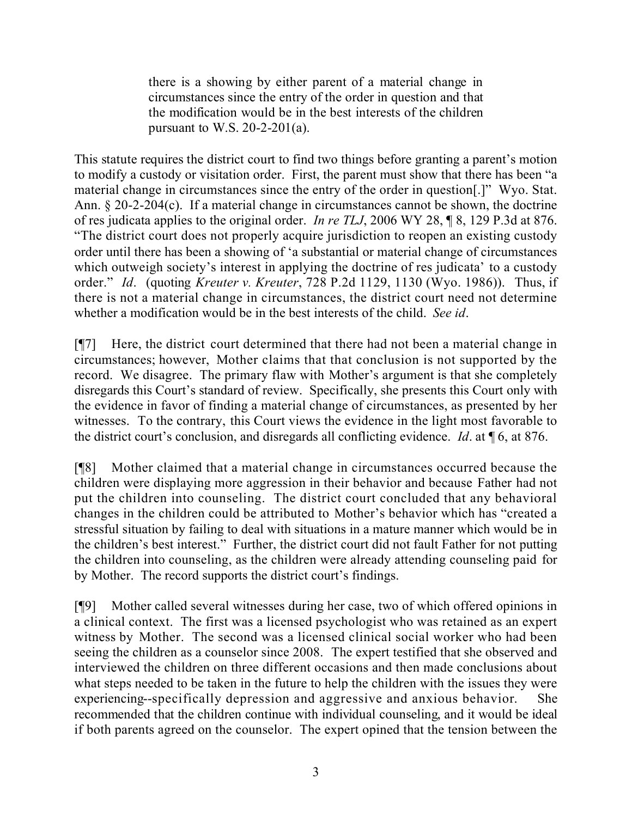there is a showing by either parent of a material change in circumstances since the entry of the order in question and that the modification would be in the best interests of the children pursuant to W.S.  $20-2-201(a)$ .

This statute requires the district court to find two things before granting a parent's motion to modify a custody or visitation order. First, the parent must show that there has been "a material change in circumstances since the entry of the order in question[.]" Wyo. Stat. Ann. § 20-2-204(c). If a material change in circumstances cannot be shown, the doctrine of res judicata applies to the original order. *In re TLJ*, 2006 WY 28, ¶ 8, 129 P.3d at 876. "The district court does not properly acquire jurisdiction to reopen an existing custody order until there has been a showing of 'a substantial or material change of circumstances which outweigh society's interest in applying the doctrine of res judicata' to a custody order." *Id*. (quoting *Kreuter v. Kreuter*, 728 P.2d 1129, 1130 (Wyo. 1986)). Thus, if there is not a material change in circumstances, the district court need not determine whether a modification would be in the best interests of the child. *See id*.

[¶7] Here, the district court determined that there had not been a material change in circumstances; however, Mother claims that that conclusion is not supported by the record. We disagree. The primary flaw with Mother's argument is that she completely disregards this Court's standard of review. Specifically, she presents this Court only with the evidence in favor of finding a material change of circumstances, as presented by her witnesses. To the contrary, this Court views the evidence in the light most favorable to the district court's conclusion, and disregards all conflicting evidence. *Id*. at ¶ 6, at 876.

[¶8] Mother claimed that a material change in circumstances occurred because the children were displaying more aggression in their behavior and because Father had not put the children into counseling. The district court concluded that any behavioral changes in the children could be attributed to Mother's behavior which has "created a stressful situation by failing to deal with situations in a mature manner which would be in the children's best interest." Further, the district court did not fault Father for not putting the children into counseling, as the children were already attending counseling paid for by Mother. The record supports the district court's findings.

[¶9] Mother called several witnesses during her case, two of which offered opinions in a clinical context. The first was a licensed psychologist who was retained as an expert witness by Mother. The second was a licensed clinical social worker who had been seeing the children as a counselor since 2008. The expert testified that she observed and interviewed the children on three different occasions and then made conclusions about what steps needed to be taken in the future to help the children with the issues they were experiencing--specifically depression and aggressive and anxious behavior. She recommended that the children continue with individual counseling, and it would be ideal if both parents agreed on the counselor. The expert opined that the tension between the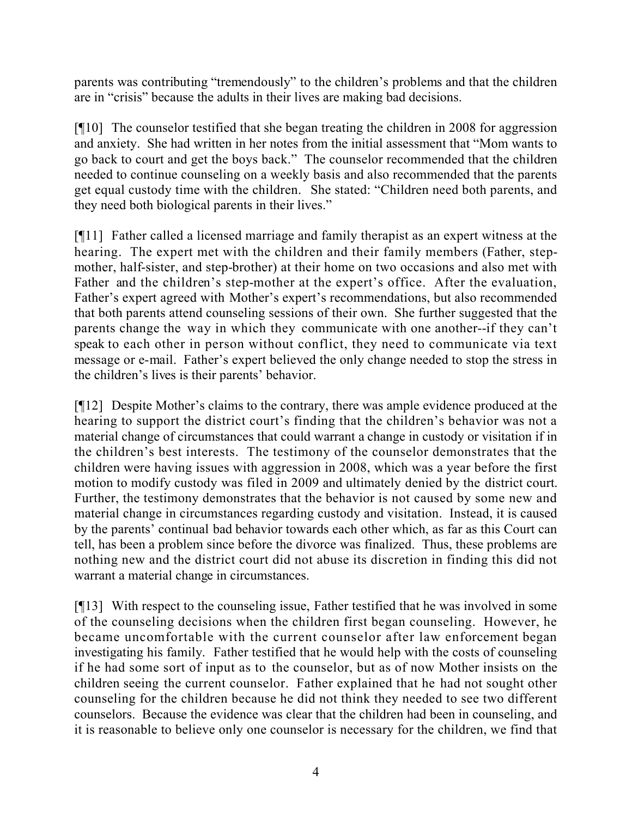parents was contributing "tremendously" to the children's problems and that the children are in "crisis" because the adults in their lives are making bad decisions.

[¶10] The counselor testified that she began treating the children in 2008 for aggression and anxiety. She had written in her notes from the initial assessment that "Mom wants to go back to court and get the boys back." The counselor recommended that the children needed to continue counseling on a weekly basis and also recommended that the parents get equal custody time with the children. She stated: "Children need both parents, and they need both biological parents in their lives."

[¶11] Father called a licensed marriage and family therapist as an expert witness at the hearing. The expert met with the children and their family members (Father, stepmother, half-sister, and step-brother) at their home on two occasions and also met with Father and the children's step-mother at the expert's office. After the evaluation, Father's expert agreed with Mother's expert's recommendations, but also recommended that both parents attend counseling sessions of their own. She further suggested that the parents change the way in which they communicate with one another--if they can't speak to each other in person without conflict, they need to communicate via text message or e-mail. Father's expert believed the only change needed to stop the stress in the children's lives is their parents' behavior.

[¶12] Despite Mother's claims to the contrary, there was ample evidence produced at the hearing to support the district court's finding that the children's behavior was not a material change of circumstances that could warrant a change in custody or visitation if in the children's best interests. The testimony of the counselor demonstrates that the children were having issues with aggression in 2008, which was a year before the first motion to modify custody was filed in 2009 and ultimately denied by the district court. Further, the testimony demonstrates that the behavior is not caused by some new and material change in circumstances regarding custody and visitation. Instead, it is caused by the parents' continual bad behavior towards each other which, as far as this Court can tell, has been a problem since before the divorce was finalized. Thus, these problems are nothing new and the district court did not abuse its discretion in finding this did not warrant a material change in circumstances.

[¶13] With respect to the counseling issue, Father testified that he was involved in some of the counseling decisions when the children first began counseling. However, he became uncomfortable with the current counselor after law enforcement began investigating his family. Father testified that he would help with the costs of counseling if he had some sort of input as to the counselor, but as of now Mother insists on the children seeing the current counselor. Father explained that he had not sought other counseling for the children because he did not think they needed to see two different counselors. Because the evidence was clear that the children had been in counseling, and it is reasonable to believe only one counselor is necessary for the children, we find that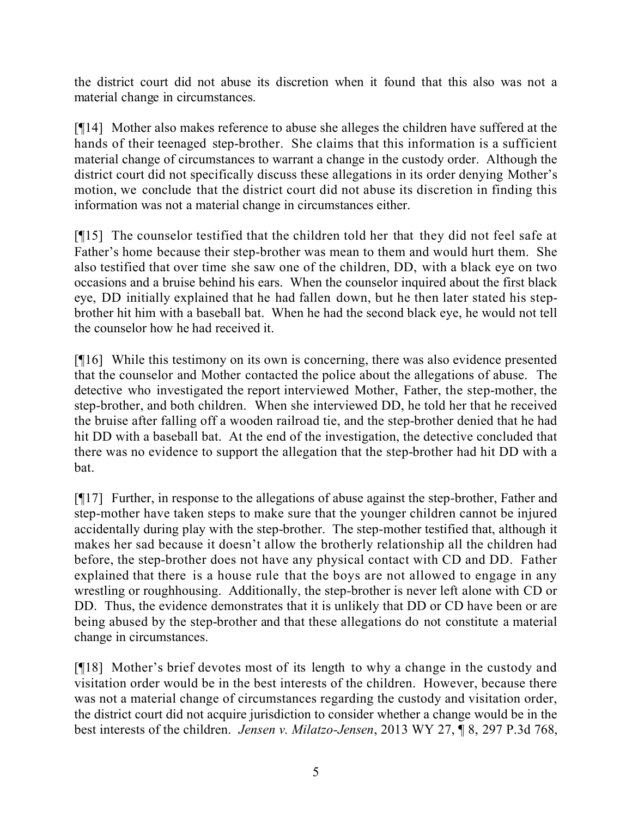the district court did not abuse its discretion when it found that this also was not a material change in circumstances.

[¶14] Mother also makes reference to abuse she alleges the children have suffered at the hands of their teenaged step-brother. She claims that this information is a sufficient material change of circumstances to warrant a change in the custody order. Although the district court did not specifically discuss these allegations in its order denying Mother's motion, we conclude that the district court did not abuse its discretion in finding this information was not a material change in circumstances either.

[¶15] The counselor testified that the children told her that they did not feel safe at Father's home because their step-brother was mean to them and would hurt them. She also testified that over time she saw one of the children, DD, with a black eye on two occasions and a bruise behind his ears. When the counselor inquired about the first black eye, DD initially explained that he had fallen down, but he then later stated his stepbrother hit him with a baseball bat. When he had the second black eye, he would not tell the counselor how he had received it.

[¶16] While this testimony on its own is concerning, there was also evidence presented that the counselor and Mother contacted the police about the allegations of abuse. The detective who investigated the report interviewed Mother, Father, the step-mother, the step-brother, and both children. When she interviewed DD, he told her that he received the bruise after falling off a wooden railroad tie, and the step-brother denied that he had hit DD with a baseball bat. At the end of the investigation, the detective concluded that there was no evidence to support the allegation that the step-brother had hit DD with a bat.

[¶17] Further, in response to the allegations of abuse against the step-brother, Father and step-mother have taken steps to make sure that the younger children cannot be injured accidentally during play with the step-brother. The step-mother testified that, although it makes her sad because it doesn't allow the brotherly relationship all the children had before, the step-brother does not have any physical contact with CD and DD. Father explained that there is a house rule that the boys are not allowed to engage in any wrestling or roughhousing. Additionally, the step-brother is never left alone with CD or DD. Thus, the evidence demonstrates that it is unlikely that DD or CD have been or are being abused by the step-brother and that these allegations do not constitute a material change in circumstances.

[¶18] Mother's brief devotes most of its length to why a change in the custody and visitation order would be in the best interests of the children. However, because there was not a material change of circumstances regarding the custody and visitation order, the district court did not acquire jurisdiction to consider whether a change would be in the best interests of the children. *Jensen v. Milatzo-Jensen*, 2013 WY 27, ¶ 8, 297 P.3d 768,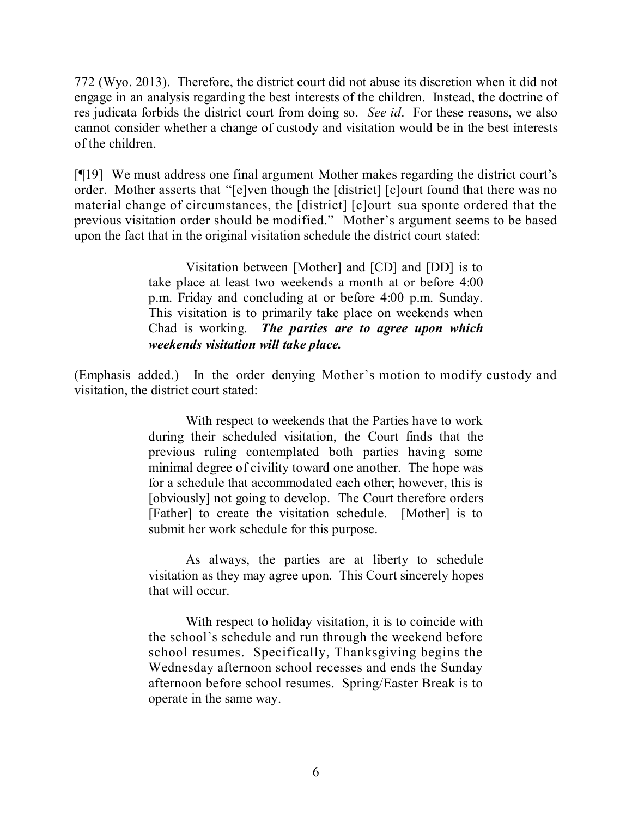772 (Wyo. 2013). Therefore, the district court did not abuse its discretion when it did not engage in an analysis regarding the best interests of the children. Instead, the doctrine of res judicata forbids the district court from doing so. *See id*. For these reasons, we also cannot consider whether a change of custody and visitation would be in the best interests of the children.

[¶19] We must address one final argument Mother makes regarding the district court's order. Mother asserts that "[e]ven though the [district] [c]ourt found that there was no material change of circumstances, the [district] [c]ourt sua sponte ordered that the previous visitation order should be modified." Mother's argument seems to be based upon the fact that in the original visitation schedule the district court stated:

> Visitation between [Mother] and [CD] and [DD] is to take place at least two weekends a month at or before 4:00 p.m. Friday and concluding at or before 4:00 p.m. Sunday. This visitation is to primarily take place on weekends when Chad is working. *The parties are to agree upon which weekends visitation will take place.*

(Emphasis added.) In the order denying Mother's motion to modify custody and visitation, the district court stated:

> With respect to weekends that the Parties have to work during their scheduled visitation, the Court finds that the previous ruling contemplated both parties having some minimal degree of civility toward one another. The hope was for a schedule that accommodated each other; however, this is [obviously] not going to develop. The Court therefore orders [Father] to create the visitation schedule. [Mother] is to submit her work schedule for this purpose.

> As always, the parties are at liberty to schedule visitation as they may agree upon. This Court sincerely hopes that will occur.

> With respect to holiday visitation, it is to coincide with the school's schedule and run through the weekend before school resumes. Specifically, Thanksgiving begins the Wednesday afternoon school recesses and ends the Sunday afternoon before school resumes. Spring/Easter Break is to operate in the same way.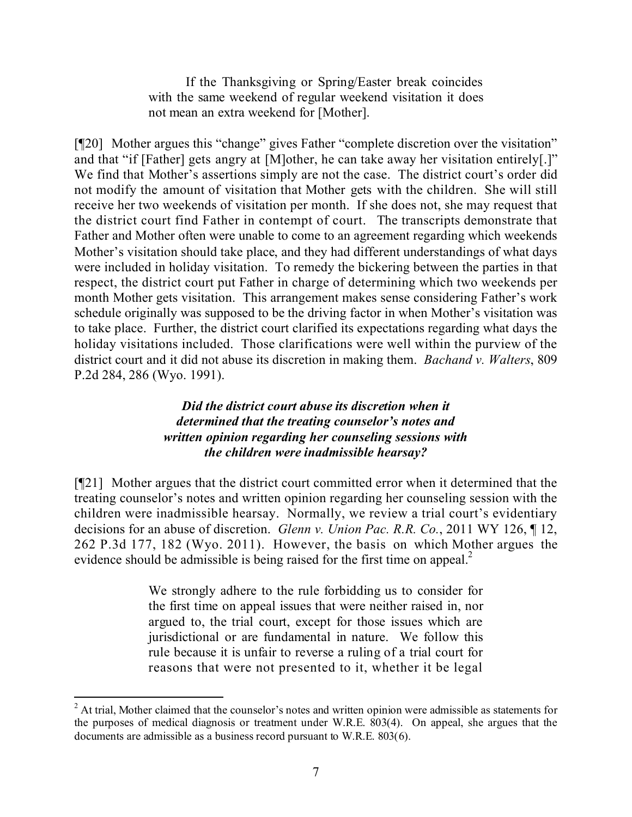If the Thanksgiving or Spring/Easter break coincides with the same weekend of regular weekend visitation it does not mean an extra weekend for [Mother].

[¶20] Mother argues this "change" gives Father "complete discretion over the visitation" and that "if [Father] gets angry at [M]other, he can take away her visitation entirely[.]" We find that Mother's assertions simply are not the case. The district court's order did not modify the amount of visitation that Mother gets with the children. She will still receive her two weekends of visitation per month. If she does not, she may request that the district court find Father in contempt of court. The transcripts demonstrate that Father and Mother often were unable to come to an agreement regarding which weekends Mother's visitation should take place, and they had different understandings of what days were included in holiday visitation. To remedy the bickering between the parties in that respect, the district court put Father in charge of determining which two weekends per month Mother gets visitation. This arrangement makes sense considering Father's work schedule originally was supposed to be the driving factor in when Mother's visitation was to take place. Further, the district court clarified its expectations regarding what days the holiday visitations included. Those clarifications were well within the purview of the district court and it did not abuse its discretion in making them. *Bachand v. Walters*, 809 P.2d 284, 286 (Wyo. 1991).

### *Did the district court abuse its discretion when it determined that the treating counselor's notes and written opinion regarding her counseling sessions with the children were inadmissible hearsay?*

[¶21] Mother argues that the district court committed error when it determined that the treating counselor's notes and written opinion regarding her counseling session with the children were inadmissible hearsay. Normally, we review a trial court's evidentiary decisions for an abuse of discretion. *Glenn v. Union Pac. R.R. Co.*, 2011 WY 126, ¶ 12, 262 P.3d 177, 182 (Wyo. 2011). However, the basis on which Mother argues the evidence should be admissible is being raised for the first time on appeal.<sup>2</sup>

> We strongly adhere to the rule forbidding us to consider for the first time on appeal issues that were neither raised in, nor argued to, the trial court, except for those issues which are jurisdictional or are fundamental in nature. We follow this rule because it is unfair to reverse a ruling of a trial court for reasons that were not presented to it, whether it be legal

l <sup>2</sup> At trial, Mother claimed that the counselor's notes and written opinion were admissible as statements for the purposes of medical diagnosis or treatment under W.R.E. 803(4). On appeal, she argues that the documents are admissible as a business record pursuant to W.R.E. 803(6).